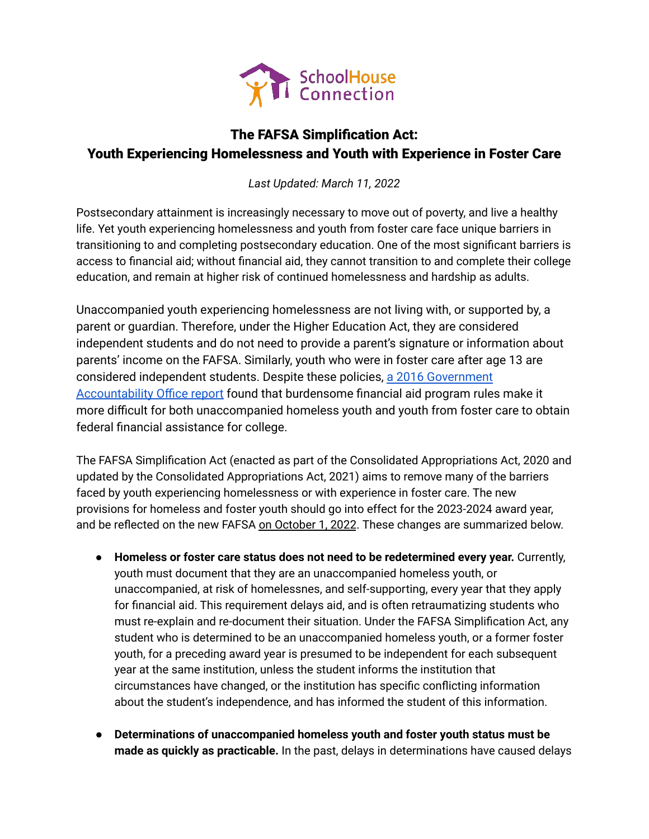

## The FAFSA Simplification Act: Youth Experiencing Homelessness and Youth with Experience in Foster Care

*Last Updated: March 11, 2022*

Postsecondary attainment is increasingly necessary to move out of poverty, and live a healthy life. Yet youth experiencing homelessness and youth from foster care face unique barriers in transitioning to and completing postsecondary education. One of the most significant barriers is access to financial aid; without financial aid, they cannot transition to and complete their college education, and remain at higher risk of continued homelessness and hardship as adults.

Unaccompanied youth experiencing homelessness are not living with, or supported by, a parent or guardian. Therefore, under the Higher Education Act, they are considered independent students and do not need to provide a parent's signature or information about parents' income on the FAFSA. Similarly, youth who were in foster care after age 13 are considered independent students. Despite these policies, [a 2016 Government](https://www.gao.gov/products/gao-16-343) [Accountability Office report](https://www.gao.gov/products/gao-16-343) found that burdensome financial aid program rules make it more difficult for both unaccompanied homeless youth and youth from foster care to obtain federal financial assistance for college.

The FAFSA Simplification Act (enacted as part of the Consolidated Appropriations Act, 2020 and updated by the Consolidated Appropriations Act, 2021) aims to remove many of the barriers faced by youth experiencing homelessness or with experience in foster care. The new provisions for homeless and foster youth should go into effect for the 2023-2024 award year, and be reflected on the new FAFSA on October 1, 2022. These changes are summarized below.

- **Homeless or foster care status does not need to be redetermined every year.** Currently, youth must document that they are an unaccompanied homeless youth, or unaccompanied, at risk of homelessnes, and self-supporting, every year that they apply for financial aid. This requirement delays aid, and is often retraumatizing students who must re-explain and re-document their situation. Under the FAFSA Simplification Act, any student who is determined to be an unaccompanied homeless youth, or a former foster youth, for a preceding award year is presumed to be independent for each subsequent year at the same institution, unless the student informs the institution that circumstances have changed, or the institution has specific conflicting information about the student's independence, and has informed the student of this information.
- **Determinations of unaccompanied homeless youth and foster youth status must be made as quickly as practicable.** In the past, delays in determinations have caused delays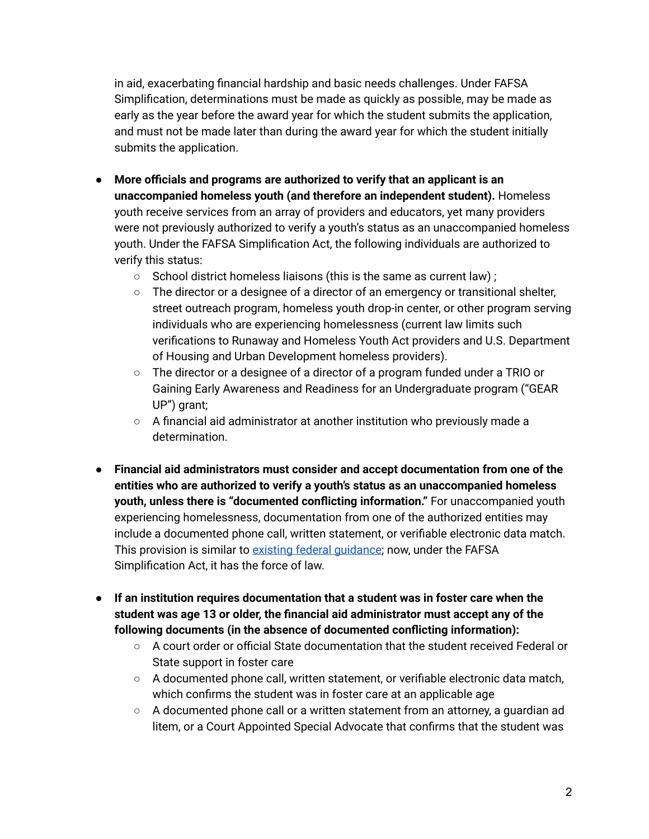in aid, exacerbating financial hardship and basic needs challenges. Under FAFSA Simplification, determinations must be made as quickly as possible, may be made as early as the year before the award year for which the student submits the application, and must not be made later than during the award year for which the student initially submits the application.

- **More officials and programs are authorized to verify that an applicant is an unaccompanied homeless youth (and therefore an independent student).** Homeless youth receive services from an array of providers and educators, yet many providers were not previously authorized to verify a youth's status as an unaccompanied homeless youth. Under the FAFSA Simplification Act, the following individuals are authorized to verify this status:
	- School district homeless liaisons (this is the same as current law) ;
	- $\circ$  The director or a designee of a director of an emergency or transitional shelter, street outreach program, homeless youth drop-in center, or other program serving individuals who are experiencing homelessness (current law limits such verifications to Runaway and Homeless Youth Act providers and U.S. Department of Housing and Urban Development homeless providers).
	- The director or a designee of a director of a program funded under a TRIO or Gaining Early Awareness and Readiness for an Undergraduate program ("GEAR UP") grant;
	- A financial aid administrator at another institution who previously made a determination.
- **Financial aid administrators must consider and accept documentation from one of the entities who are authorized to verify a youth's status as an unaccompanied homeless youth, unless there is "documented conflicting information."** For unaccompanied youth experiencing homelessness, documentation from one of the authorized entities may include a documented phone call, written statement, or verifiable electronic data match. This provision is similar to existing federal quidance; now, under the FAFSA Simplification Act, it has the force of law.
- **If an institution requires documentation that a student was in foster care when the student was age 13 or older, the financial aid administrator must accept any of the following documents (in the absence of documented conflicting information):**
	- A court order or official State documentation that the student received Federal or State support in foster care
	- $\circ$  A documented phone call, written statement, or verifiable electronic data match, which confirms the student was in foster care at an applicable age
	- A documented phone call or a written statement from an attorney, a guardian ad litem, or a Court Appointed Special Advocate that confirms that the student was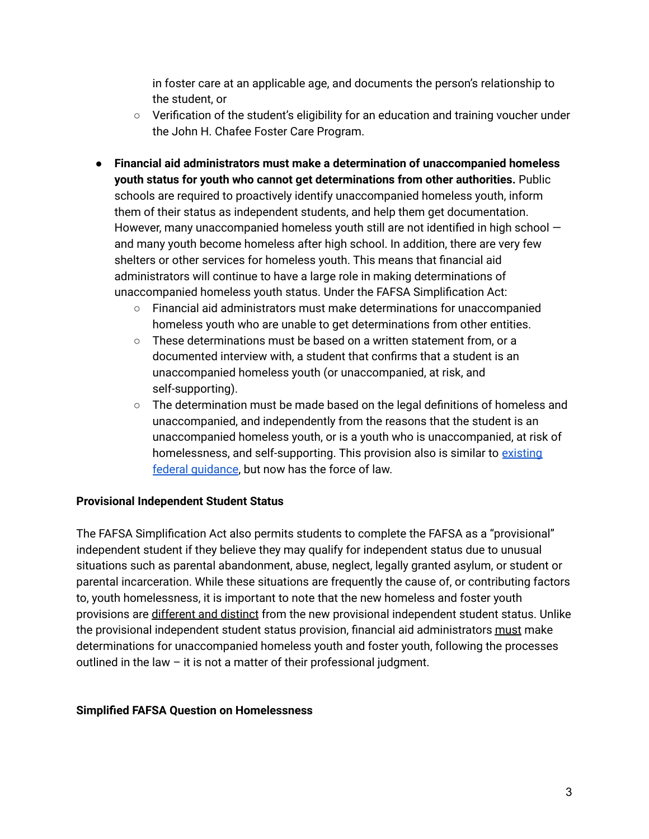in foster care at an applicable age, and documents the person's relationship to the student, or

- $\circ$  Verification of the student's eligibility for an education and training voucher under the John H. Chafee Foster Care Program.
- **Financial aid administrators must make a determination of unaccompanied homeless youth status for youth who cannot get determinations from other authorities.** Public schools are required to proactively identify unaccompanied homeless youth, inform them of their status as independent students, and help them get documentation. However, many unaccompanied homeless youth still are not identified in high school and many youth become homeless after high school. In addition, there are very few shelters or other services for homeless youth. This means that financial aid administrators will continue to have a large role in making determinations of unaccompanied homeless youth status. Under the FAFSA Simplification Act:
	- Financial aid administrators must make determinations for unaccompanied homeless youth who are unable to get determinations from other entities.
	- These determinations must be based on a written statement from, or a documented interview with, a student that confirms that a student is an unaccompanied homeless youth (or unaccompanied, at risk, and self-supporting).
	- The determination must be made based on the legal definitions of homeless and unaccompanied, and independently from the reasons that the student is an unaccompanied homeless youth, or is a youth who is unaccompanied, at risk of homelessness, and self-supporting. This provision also is similar to [existing](https://fsapartners.ed.gov/sites/default/files/attachments/2021-02/2122FSAHbkAVGMaster.pdf) [federal guidance](https://fsapartners.ed.gov/sites/default/files/attachments/2021-02/2122FSAHbkAVGMaster.pdf), but now has the force of law.

## **Provisional Independent Student Status**

The FAFSA Simplification Act also permits students to complete the FAFSA as a "provisional" independent student if they believe they may qualify for independent status due to unusual situations such as parental abandonment, abuse, neglect, legally granted asylum, or student or parental incarceration. While these situations are frequently the cause of, or contributing factors to, youth homelessness, it is important to note that the new homeless and foster youth provisions are different and distinct from the new provisional independent student status. Unlike the provisional independent student status provision, financial aid administrators must make determinations for unaccompanied homeless youth and foster youth, following the processes outlined in the law  $-$  it is not a matter of their professional judgment.

## **Simplified FAFSA Question on Homelessness**